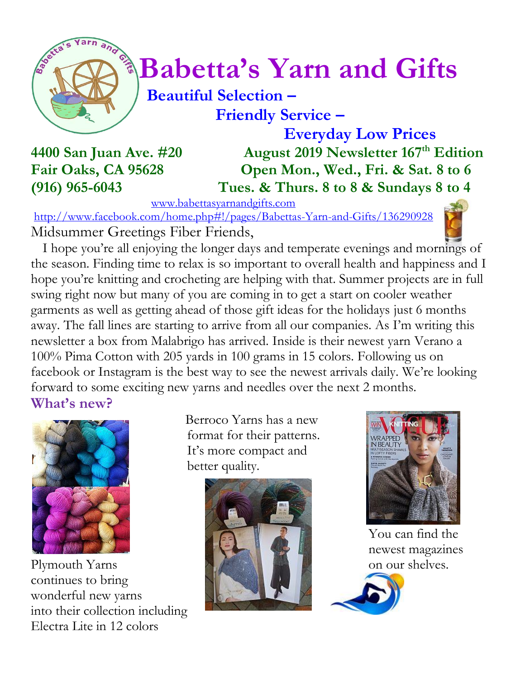

# $\int_{0}^{\frac{1}{2}} \sqrt{\frac{1}{2}} B^{2}$  Babetta's Yarn and Gifts

#### **Beautiful Selection – Friendly Service –**

 **Everyday Low Prices 4400 San Juan Ave. #20 August 2019 Newsletter 167 th Edition Fair Oaks, CA 95628 Open Mon., Wed., Fri. & Sat. 8 to 6 (916) 965-6043 Tues. & Thurs. 8 to 8 & Sundays 8 to 4**

[www.babettasyarnandgifts.com](http://www.babettasyarnandgifts.com/)

<http://www.facebook.com/home.php#!/pages/Babettas-Yarn-and-Gifts/136290928> Midsummer Greetings Fiber Friends,

 I hope you're all enjoying the longer days and temperate evenings and mornings of the season. Finding time to relax is so important to overall health and happiness and I hope you're knitting and crocheting are helping with that. Summer projects are in full swing right now but many of you are coming in to get a start on cooler weather garments as well as getting ahead of those gift ideas for the holidays just 6 months away. The fall lines are starting to arrive from all our companies. As I'm writing this newsletter a box from Malabrigo has arrived. Inside is their newest yarn Verano a 100% Pima Cotton with 205 yards in 100 grams in 15 colors. Following us on facebook or Instagram is the best way to see the newest arrivals daily. We're looking forward to some exciting new yarns and needles over the next 2 months. **What's new?**

Plymouth Yarns on our shelves. continues to bring wonderful new yarns into their collection including Electra Lite in 12 colors

 Berroco Yarns has a new format for their patterns. It's more compact and better quality.





You can find the newest magazines

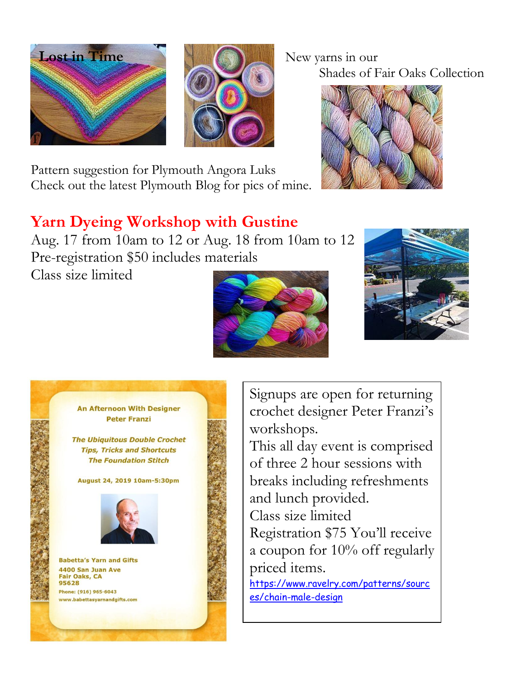



Pattern suggestion for Plymouth Angora Luks Check out the latest Plymouth Blog for pics of mine.

## Shades of Fair Oaks Collection



### **Yarn Dyeing Workshop with Gustine**

Aug. 17 from 10am to 12 or Aug. 18 from 10am to 12 Pre-registration \$50 includes materials

Class size limited







Signups are open for returning crochet designer Peter Franzi's workshops.

This all day event is comprised of three 2 hour sessions with breaks including refreshments and lunch provided.

Class size limited

Registration \$75 You'll receive a coupon for 10% off regularly priced items.

[https://www.ravelry.com/patterns/sourc](https://www.ravelry.com/patterns/sources/chain-male-design) [es/chain-male-design](https://www.ravelry.com/patterns/sources/chain-male-design)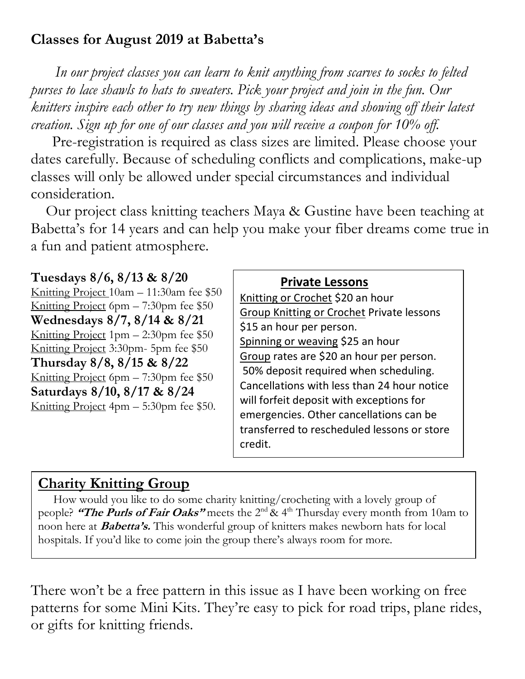#### **Classes for August 2019 at Babetta's**

 *In our project classes you can learn to knit anything from scarves to socks to felted purses to lace shawls to hats to sweaters. Pick your project and join in the fun. Our knitters inspire each other to try new things by sharing ideas and showing off their latest creation. Sign up for one of our classes and you will receive a coupon for 10% off.*

Pre-registration is required as class sizes are limited. Please choose your dates carefully. Because of scheduling conflicts and complications, make-up classes will only be allowed under special circumstances and individual consideration.

Our project class knitting teachers Maya & Gustine have been teaching at Babetta's for 14 years and can help you make your fiber dreams come true in a fun and patient atmosphere.

#### **Tuesdays 8/6, 8/13 & 8/20**

Knitting Project 10am – 11:30am fee \$50 Knitting Project 6pm – 7:30pm fee \$50 **Wednesdays 8/7, 8/14 & 8/21** Knitting Project 1pm – 2:30pm fee \$50 Knitting Project 3:30pm- 5pm fee \$50 **Thursday 8/8, 8/15 & 8/22** Knitting Project 6pm – 7:30pm fee \$50 **Saturdays 8/10, 8/17 & 8/24** Knitting Project 4pm – 5:30pm fee \$50.

#### **Private Lessons**

Knitting or Crochet \$20 an hour Group Knitting or Crochet Private lessons \$15 an hour per person. Spinning or weaving \$25 an hour Group rates are \$20 an hour per person. 50% deposit required when scheduling. Cancellations with less than 24 hour notice will forfeit deposit with exceptions for emergencies. Other cancellations can be transferred to rescheduled lessons or store credit.

#### **Charity Knitting Group**

 How would you like to do some charity knitting/crocheting with a lovely group of people? **"The Purls of Fair Oaks"** meets the 2nd & 4th Thursday every month from 10am to noon here at **Babetta's.** This wonderful group of knitters makes newborn hats for local hospitals. If you'd like to come join the group there's always room for more.

There won't be a free pattern in this issue as I have been working on free patterns for some Mini Kits. They're easy to pick for road trips, plane rides, or gifts for knitting friends.